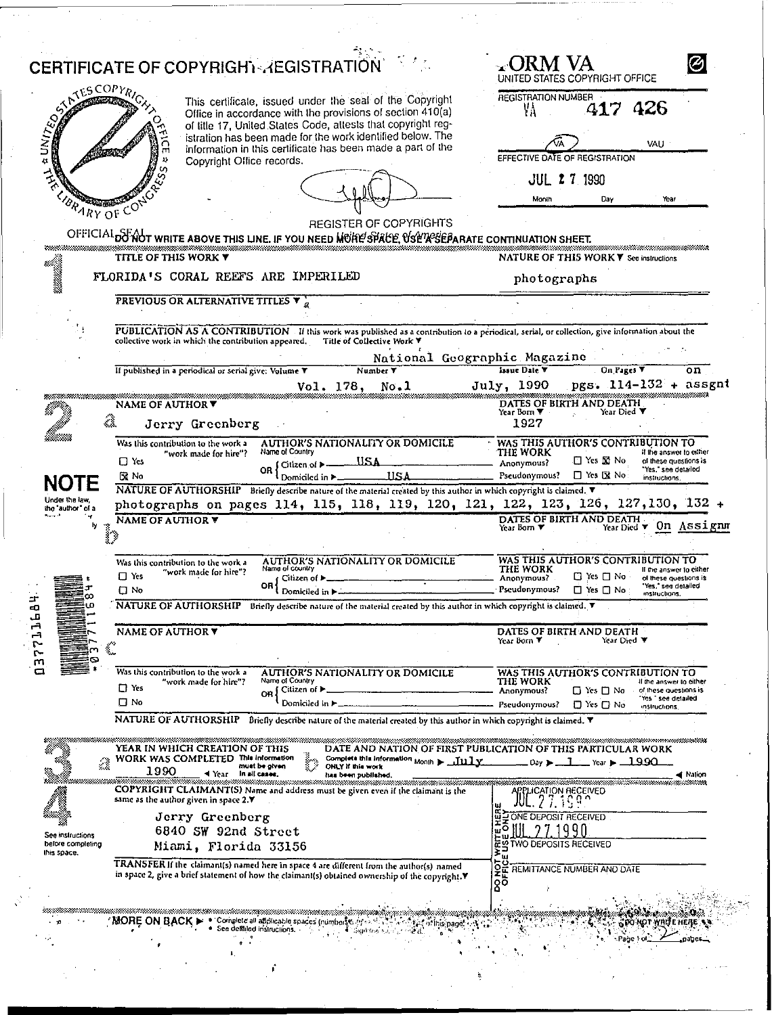|                                  | <b>CERTIFICATE OF COPYRIGHT AEGISTRATION</b>                                                                                                                                                                                                         |                                                                                                                                                    |
|----------------------------------|------------------------------------------------------------------------------------------------------------------------------------------------------------------------------------------------------------------------------------------------------|----------------------------------------------------------------------------------------------------------------------------------------------------|
|                                  |                                                                                                                                                                                                                                                      | UNITED STATES COPYRIGHT OFFICE                                                                                                                     |
| SANTESCOPYRIC<br># UNITED        | This certificate, issued under the seal of the Copyright<br>Office in accordance with the provisions of section 410(a)<br>of title 17, United States Code, attests that copyright reg-<br>istration has been made for the work identified below. The | REGISTRATION NUMBER<br>417426<br>YA                                                                                                                |
| <b>CERTIFICATE</b>               | information in this certificate has been made a part of the                                                                                                                                                                                          | VAU<br>EFFECTIVE DATE OF REGISTRATION                                                                                                              |
| $\vec{r}$                        | Copyright Office records.                                                                                                                                                                                                                            |                                                                                                                                                    |
|                                  |                                                                                                                                                                                                                                                      | <b>JUL 27 1990</b><br>Year<br>Month                                                                                                                |
| LIBRARY OF CON                   |                                                                                                                                                                                                                                                      | Dav                                                                                                                                                |
|                                  | REGISTER OF COPYRIGHTS<br>OFFICIAL BEADT W<br>S LINE. IF YOU NEED MURÉ SPACE, USE RESEPARATE CONTINUATION SHEET.                                                                                                                                     |                                                                                                                                                    |
|                                  | TITLE OF THIS WORK <b>Y</b>                                                                                                                                                                                                                          | <b>NATURE OF THIS WORK ▼ See instructions</b>                                                                                                      |
| i<br>Sana                        | FLORIDA'S CORAL REEFS ARE IMPERILED                                                                                                                                                                                                                  | photographs                                                                                                                                        |
|                                  | <b>PREVIOUS OR ALTERNATIVE TITLES V</b>                                                                                                                                                                                                              |                                                                                                                                                    |
|                                  | PUBLICATION AS A CONTRIBUTION If this work was published as a contribution to a periodical, serial, or collection, give information about the<br>collective work in which the contribution appeared,<br>Title of Collective Work V                   |                                                                                                                                                    |
|                                  | National Geographic Magazine                                                                                                                                                                                                                         |                                                                                                                                                    |
|                                  | Number <sub>Y</sub><br>If published in a periodical or serial give: Volume V                                                                                                                                                                         | <b>Issue Date Y</b><br>On Pages V<br>on.<br>$pgs. 114-132 + assgnt$                                                                                |
|                                  | Vol. 178,<br>No.l<br>n muussa Stoinin                                                                                                                                                                                                                | July, 1990                                                                                                                                         |
| Q.                               | NAME OF AUTHOR $\blacktriangledown$                                                                                                                                                                                                                  | DATES OF BIRTH AND DEATH<br>Year Born ▼<br>Year Died ¶<br>1927                                                                                     |
|                                  | Jerry Greenberg                                                                                                                                                                                                                                      |                                                                                                                                                    |
|                                  | <b>AUTHOR'S NATIONALITY OR DOMICILE</b><br>Was this contribution to the work a<br>Name of Country<br>"work made for hire"?<br>$\square$ Yes<br>USA                                                                                                   | WAS THIS AUTHOR'S CONTRIBUTION TO<br>THE WORK<br>If the answer to either<br>$\Box$ Yes $\boxtimes$ No<br>of these questions is                     |
|                                  | ∫ Citizen of ▶<br><b>OR</b><br><b>USA</b><br><b>DI</b> No<br>Domiciled in ►_                                                                                                                                                                         | Anonymous?<br>"Yes," see detailed<br>Pseudonymous?<br>$\Box$ Yes $\Box$ No:<br>instructions.                                                       |
| NOTE<br>Under the law.           | NATURE OF AUTHORSHIP Briefly describe nature of the material created by this author in which copyright is claimed.                                                                                                                                   |                                                                                                                                                    |
| the author of a                  | photographs on pages 114, 115, 118, 119, 120, 121, 122, 123, 126, 127, 130, 132 +<br><b>NAME OF AUTHOR V</b>                                                                                                                                         | DATES OF BIRTH AND DEATH                                                                                                                           |
|                                  |                                                                                                                                                                                                                                                      | Year Died v On Assignm<br>Year Born ▼                                                                                                              |
|                                  | <b>AUTHOR'S NATIONALITY OR DOMICILE</b><br>Was this contribution to the work a<br>Name of country<br>"work made for hire"?                                                                                                                           | WAS THIS AUTHOR'S CONTRIBUTION TO<br>THE WORK<br>Il the answer to cither                                                                           |
|                                  | $\square$ Yes<br>Citizen of D<br>ОR<br>סא ⊡<br>Domiciled in $\blacktriangleright$                                                                                                                                                                    | $\square$ Yes $\square$ No<br>Anonymous?<br>of these questions is<br>'Yes,' see detailed<br>Pseudonymous?<br>$\Box$ Yes $\Box$ No<br>instructions. |
| œ                                | NATURE OF AUTHORSHIP Briefly describe nature of the material created by this author in which copyright is claimed. ▼                                                                                                                                 |                                                                                                                                                    |
| م<br>م<br>م<br>$\sim$<br>m       | <b>NAME OF AUTHOR V</b>                                                                                                                                                                                                                              | DATES OF BIRTH AND DEATH<br>Year Born $\nabla$<br>Year Died Y                                                                                      |
| a                                | Was this contribution to the work a<br>AUTHOR'S NATIONALITY OR DOMICILE<br>Name of Country<br>"work made for hire"?<br>$\square$ Yes<br>Cilizen of ▶<br><b>OR</b>                                                                                    | WAS THIS AUTHOR'S CONTRIBUTION TO<br>THE WORK<br>If the answer to either<br>Anonymous?<br>$\square$ Yes $\square$ No<br>of these questions is      |
|                                  | $\square$ No<br>Domialed in ►                                                                                                                                                                                                                        | 'Yrs " see detailed<br>Pseudonymous?<br>$\Box$ Yes $\Box$ No<br>instructions.                                                                      |
|                                  | NATURE OF AUTHORSHIP<br>Briefly describe nature of the material created by this author in which copyright is claimed. $\Psi$                                                                                                                         |                                                                                                                                                    |
|                                  | YEAR IN WHICH CREATION OF THIS<br><b>WORK WAS COMPLETED This information</b><br>Complete this information Month > July<br>muet be given<br>ONLY if this work<br>1990<br>◀ Year<br>in all cases.<br>has been published.                               | DATE AND NATION OF FIRST PUBLICATION OF THIS PARTICULAR WORK<br>Year $\blacktriangleright$ 1990<br>◀ Nation                                        |
|                                  | COPYRIGHT CLAIMANT(S) Name and address must be given even if the claimant is the<br>same as the author given in space $2.7$                                                                                                                          | <b>PLICATION RECEIVED</b>                                                                                                                          |
|                                  | Jerry Greenberg                                                                                                                                                                                                                                      | one deposit received                                                                                                                               |
| See instructions                 | 6840 SW 92nd Street                                                                                                                                                                                                                                  |                                                                                                                                                    |
| belore completing<br>This space. | Miami, Florida 33156                                                                                                                                                                                                                                 | TWO DEPOSITS RECEIVED<br>ш                                                                                                                         |
|                                  | TRANSFER If the claimant(s) named here in space 4 are different from the author(s) named<br>in space 2, give a brief statement of how the claimant(s) obtained ownership of the copyright.                                                           | TE REMITTANCE NUMBER AND DATE                                                                                                                      |
|                                  |                                                                                                                                                                                                                                                      | ႙ၟၜ                                                                                                                                                |
|                                  |                                                                                                                                                                                                                                                      |                                                                                                                                                    |
|                                  | $^{\prime}$ MORE ON BACK $\blacktriangleright$ . Complete all additionable spaces (numberily, b) $\sim$ 1.1<br><b>Missionage</b><br>● See delailed instructions.<br>● Significe ou                                                                   | <b>GOO NOT WALLE HERE</b>                                                                                                                          |
|                                  |                                                                                                                                                                                                                                                      |                                                                                                                                                    |
|                                  |                                                                                                                                                                                                                                                      |                                                                                                                                                    |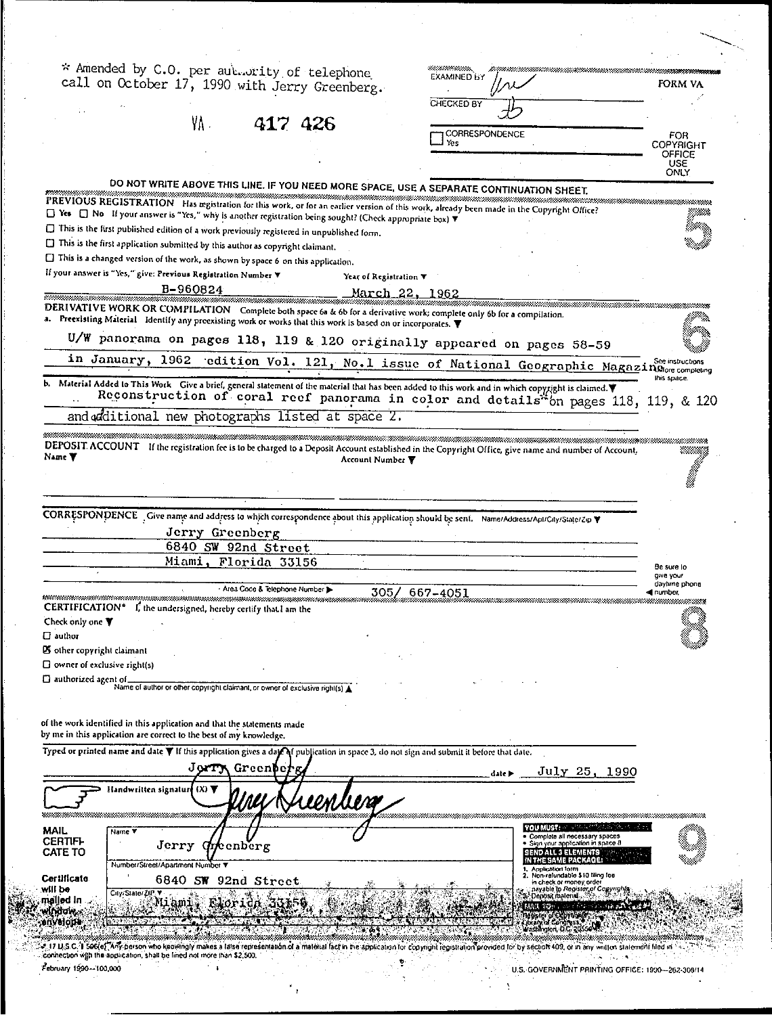|                                                                                                                                                                                                                                                                                                                                                                                       |                                                                            |                                |                                                                                                                                      | EXAMINED BY                                                                                                                                                                                                |                            |  |
|---------------------------------------------------------------------------------------------------------------------------------------------------------------------------------------------------------------------------------------------------------------------------------------------------------------------------------------------------------------------------------------|----------------------------------------------------------------------------|--------------------------------|--------------------------------------------------------------------------------------------------------------------------------------|------------------------------------------------------------------------------------------------------------------------------------------------------------------------------------------------------------|----------------------------|--|
| * Amended by C.O. per authority of telephone                                                                                                                                                                                                                                                                                                                                          |                                                                            |                                |                                                                                                                                      |                                                                                                                                                                                                            |                            |  |
| call on October 17, 1990 with Jerry Greenberg.                                                                                                                                                                                                                                                                                                                                        |                                                                            |                                |                                                                                                                                      |                                                                                                                                                                                                            | FORM VA                    |  |
|                                                                                                                                                                                                                                                                                                                                                                                       |                                                                            |                                |                                                                                                                                      | CHECKED BY                                                                                                                                                                                                 |                            |  |
|                                                                                                                                                                                                                                                                                                                                                                                       | YA .                                                                       | 417 426                        |                                                                                                                                      |                                                                                                                                                                                                            |                            |  |
|                                                                                                                                                                                                                                                                                                                                                                                       |                                                                            |                                |                                                                                                                                      | CORRESPONDENCE                                                                                                                                                                                             | FOR                        |  |
|                                                                                                                                                                                                                                                                                                                                                                                       |                                                                            |                                |                                                                                                                                      | Yes                                                                                                                                                                                                        | <b>COPYRIGHT</b>           |  |
|                                                                                                                                                                                                                                                                                                                                                                                       |                                                                            |                                |                                                                                                                                      |                                                                                                                                                                                                            | OFFICE<br>USE              |  |
|                                                                                                                                                                                                                                                                                                                                                                                       |                                                                            |                                |                                                                                                                                      |                                                                                                                                                                                                            | ONLY                       |  |
|                                                                                                                                                                                                                                                                                                                                                                                       |                                                                            |                                |                                                                                                                                      | DO NOT WRITE ABOVE THIS LINE. IF YOU NEED MORE SPACE, USE A SEPARATE CONTINUATION SHEET.                                                                                                                   |                            |  |
|                                                                                                                                                                                                                                                                                                                                                                                       |                                                                            |                                |                                                                                                                                      | PREVIOUS REGISTRATION Has ægistration for this work, or for an earlier version of this work, already been made in the Cupyright Office?                                                                    |                            |  |
|                                                                                                                                                                                                                                                                                                                                                                                       |                                                                            |                                | $\Box$ Yes $\Box$ No If your answer is "Yes," why is another registration being sought? (Check appropriate box) $\blacktriangledown$ |                                                                                                                                                                                                            |                            |  |
| $\square$ This is the first published edition of a work previously registered in unpublished form.                                                                                                                                                                                                                                                                                    |                                                                            |                                |                                                                                                                                      |                                                                                                                                                                                                            |                            |  |
| $\Box$ This is the first application submitted by this author as copyright claimant.                                                                                                                                                                                                                                                                                                  |                                                                            |                                |                                                                                                                                      |                                                                                                                                                                                                            |                            |  |
| $\square$ This is a changed version of the work, as shown by space 6 on this application.                                                                                                                                                                                                                                                                                             |                                                                            |                                |                                                                                                                                      |                                                                                                                                                                                                            |                            |  |
| If your answer is "Yes," give: Previous Registration Number V                                                                                                                                                                                                                                                                                                                         |                                                                            |                                | Year of Registration ▼                                                                                                               |                                                                                                                                                                                                            |                            |  |
|                                                                                                                                                                                                                                                                                                                                                                                       | B-960824                                                                   |                                |                                                                                                                                      | <b>March 22, 1962</b>                                                                                                                                                                                      |                            |  |
|                                                                                                                                                                                                                                                                                                                                                                                       |                                                                            |                                |                                                                                                                                      | DERIVATIVE WORK OR COMPILATION Complete both space 6a & 6b for a derivative work; complete only 6b for a compilation.                                                                                      |                            |  |
|                                                                                                                                                                                                                                                                                                                                                                                       |                                                                            |                                | a. Preexisting Material Identify any preexisting work or works that this work is based on or incorporates.                           |                                                                                                                                                                                                            |                            |  |
|                                                                                                                                                                                                                                                                                                                                                                                       |                                                                            |                                |                                                                                                                                      | U/W panorama on pages 118, 119 & 120 originally appeared on pages 58-59                                                                                                                                    |                            |  |
| in January, 1962                                                                                                                                                                                                                                                                                                                                                                      |                                                                            |                                |                                                                                                                                      |                                                                                                                                                                                                            |                            |  |
|                                                                                                                                                                                                                                                                                                                                                                                       |                                                                            |                                |                                                                                                                                      | redition Vol. 121, No.1 issue of National Geographic Magazin Consequence                                                                                                                                   |                            |  |
|                                                                                                                                                                                                                                                                                                                                                                                       |                                                                            |                                |                                                                                                                                      | Material Added to This Work Give a brief, general statement of the material that has been added to this work and in which copyright is claimed.                                                            | his space.                 |  |
|                                                                                                                                                                                                                                                                                                                                                                                       |                                                                            |                                |                                                                                                                                      | Reconstruction of coral reef panorama in color and details <sup>24</sup> on pages 118, 119, & 120                                                                                                          |                            |  |
|                                                                                                                                                                                                                                                                                                                                                                                       |                                                                            |                                | and additional new photographs listed at space Z.                                                                                    |                                                                                                                                                                                                            |                            |  |
|                                                                                                                                                                                                                                                                                                                                                                                       |                                                                            |                                |                                                                                                                                      |                                                                                                                                                                                                            |                            |  |
|                                                                                                                                                                                                                                                                                                                                                                                       |                                                                            |                                |                                                                                                                                      |                                                                                                                                                                                                            |                            |  |
| Name V                                                                                                                                                                                                                                                                                                                                                                                |                                                                            |                                | Account Number <b>V</b>                                                                                                              | DEPOSIT ACCOUNT If the registration fee is to be charged to a Deposit Account established in the Copyright Office, give name and number of Account,                                                        |                            |  |
|                                                                                                                                                                                                                                                                                                                                                                                       |                                                                            |                                |                                                                                                                                      |                                                                                                                                                                                                            |                            |  |
|                                                                                                                                                                                                                                                                                                                                                                                       |                                                                            |                                |                                                                                                                                      |                                                                                                                                                                                                            |                            |  |
|                                                                                                                                                                                                                                                                                                                                                                                       |                                                                            |                                |                                                                                                                                      |                                                                                                                                                                                                            |                            |  |
|                                                                                                                                                                                                                                                                                                                                                                                       |                                                                            |                                |                                                                                                                                      |                                                                                                                                                                                                            |                            |  |
|                                                                                                                                                                                                                                                                                                                                                                                       |                                                                            |                                |                                                                                                                                      |                                                                                                                                                                                                            |                            |  |
|                                                                                                                                                                                                                                                                                                                                                                                       |                                                                            |                                |                                                                                                                                      | CORRESPONDENCE Give name and address to which correspondence about this application should be sent. Name/Address/ApI/City/State/Zip Y                                                                      |                            |  |
|                                                                                                                                                                                                                                                                                                                                                                                       | Jerry Greenberg                                                            |                                |                                                                                                                                      |                                                                                                                                                                                                            |                            |  |
|                                                                                                                                                                                                                                                                                                                                                                                       | 6840 SW 92nd Street                                                        |                                |                                                                                                                                      |                                                                                                                                                                                                            |                            |  |
|                                                                                                                                                                                                                                                                                                                                                                                       | Miami.                                                                     | Florida 33156                  |                                                                                                                                      |                                                                                                                                                                                                            | Be sure Io                 |  |
|                                                                                                                                                                                                                                                                                                                                                                                       |                                                                            |                                |                                                                                                                                      |                                                                                                                                                                                                            | give your<br>daytime phone |  |
|                                                                                                                                                                                                                                                                                                                                                                                       |                                                                            | - Area Code & Telephone Number | 305/                                                                                                                                 | 667-4051                                                                                                                                                                                                   | <b>I</b> number            |  |
|                                                                                                                                                                                                                                                                                                                                                                                       | $\int_{\tau}$ the undersigned, hereby certify that I am the                |                                |                                                                                                                                      |                                                                                                                                                                                                            |                            |  |
|                                                                                                                                                                                                                                                                                                                                                                                       |                                                                            |                                |                                                                                                                                      |                                                                                                                                                                                                            |                            |  |
|                                                                                                                                                                                                                                                                                                                                                                                       |                                                                            |                                |                                                                                                                                      |                                                                                                                                                                                                            |                            |  |
|                                                                                                                                                                                                                                                                                                                                                                                       |                                                                            |                                |                                                                                                                                      |                                                                                                                                                                                                            |                            |  |
|                                                                                                                                                                                                                                                                                                                                                                                       |                                                                            |                                |                                                                                                                                      |                                                                                                                                                                                                            |                            |  |
|                                                                                                                                                                                                                                                                                                                                                                                       |                                                                            |                                |                                                                                                                                      |                                                                                                                                                                                                            |                            |  |
|                                                                                                                                                                                                                                                                                                                                                                                       | Name of author or other copyright claimant, or owner of exclusive right(s) |                                |                                                                                                                                      |                                                                                                                                                                                                            |                            |  |
|                                                                                                                                                                                                                                                                                                                                                                                       |                                                                            |                                |                                                                                                                                      |                                                                                                                                                                                                            |                            |  |
|                                                                                                                                                                                                                                                                                                                                                                                       |                                                                            |                                |                                                                                                                                      |                                                                                                                                                                                                            |                            |  |
|                                                                                                                                                                                                                                                                                                                                                                                       |                                                                            |                                |                                                                                                                                      |                                                                                                                                                                                                            |                            |  |
|                                                                                                                                                                                                                                                                                                                                                                                       |                                                                            |                                |                                                                                                                                      | Typed or printed name and date $\Psi$ If this application gives a day $\mathbf{A}$ f publication in space 3, do not sign and submit it before that date.                                                   |                            |  |
|                                                                                                                                                                                                                                                                                                                                                                                       |                                                                            | Greenb                         |                                                                                                                                      |                                                                                                                                                                                                            |                            |  |
|                                                                                                                                                                                                                                                                                                                                                                                       |                                                                            |                                |                                                                                                                                      | July 25,<br>1990<br>date Þ                                                                                                                                                                                 |                            |  |
|                                                                                                                                                                                                                                                                                                                                                                                       | Handwritten signatur<br>(X) V                                              |                                |                                                                                                                                      |                                                                                                                                                                                                            |                            |  |
|                                                                                                                                                                                                                                                                                                                                                                                       |                                                                            |                                |                                                                                                                                      |                                                                                                                                                                                                            |                            |  |
|                                                                                                                                                                                                                                                                                                                                                                                       |                                                                            |                                |                                                                                                                                      |                                                                                                                                                                                                            |                            |  |
| Name Y                                                                                                                                                                                                                                                                                                                                                                                |                                                                            |                                |                                                                                                                                      | Complete all necessary spaces<br>Sign your application in space 8                                                                                                                                          |                            |  |
|                                                                                                                                                                                                                                                                                                                                                                                       | Jerry                                                                      | cenberg                        |                                                                                                                                      | SEND ALL 3 ELEMENTS                                                                                                                                                                                        |                            |  |
|                                                                                                                                                                                                                                                                                                                                                                                       | Number/Street/Apartment Number                                             |                                |                                                                                                                                      | THE SAME PACKAGE:<br>Application form                                                                                                                                                                      |                            |  |
| <b>CERTIFICATION°</b><br>Check only one V<br>$\Box$ author<br><sup>25</sup> other copyright claimant<br>$\Box$ owner of exclusive right(s)<br>authorized acent of<br>of the work identified in this application and that the statements made<br>by me in this application are correct to the best of my knowledge.<br><b>MAIL</b><br><b>CERTIFI-</b><br><b>CATE TO</b><br>Certificate | 6840 SW 92nd Street                                                        |                                |                                                                                                                                      | Non-refundable \$10 filing fee<br>in check or maney arder                                                                                                                                                  |                            |  |
| will be<br>City/State/ZIP: Y                                                                                                                                                                                                                                                                                                                                                          |                                                                            |                                |                                                                                                                                      | nayable to Register of Copyrigh<br>:Deposit material                                                                                                                                                       |                            |  |
| malled in<br>window.                                                                                                                                                                                                                                                                                                                                                                  | міаті<br>TOL 1                                                             |                                |                                                                                                                                      |                                                                                                                                                                                                            |                            |  |
| envolope.                                                                                                                                                                                                                                                                                                                                                                             |                                                                            |                                |                                                                                                                                      |                                                                                                                                                                                                            |                            |  |
|                                                                                                                                                                                                                                                                                                                                                                                       |                                                                            |                                |                                                                                                                                      | Washington, D.C. 20550 M.                                                                                                                                                                                  |                            |  |
| connection with the application, shall be lined not more than \$2,500.                                                                                                                                                                                                                                                                                                                |                                                                            |                                |                                                                                                                                      | 71 U.S.C. I Societ, Any person who keowingly makes a late representation of a material fact in the application for copyright registration provided to by section 409, or in any written statement filed in |                            |  |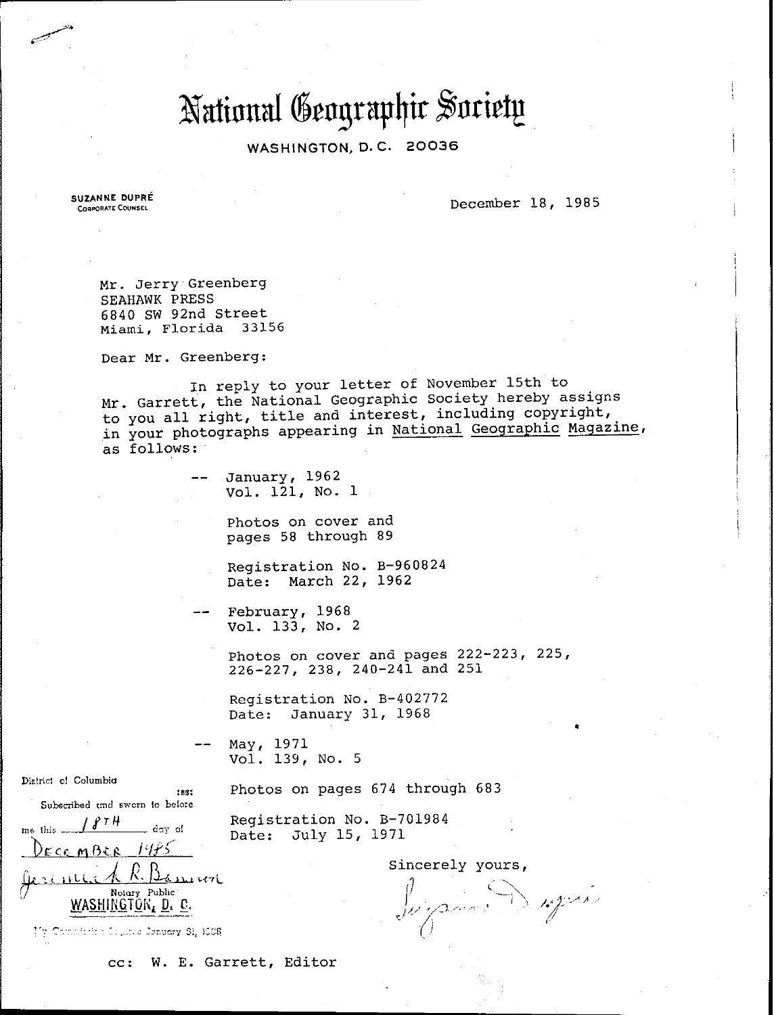# National Geographic Society

### WASHINGTON, D. C. 20036

**SUZANNE DUPRE**

. . "

December 18, 1985

Mr. Jerry Greenberg SEAHAWK PRESS 6840 SW 92nd Street<br>Miami, Florida 33156 Miami, Florida 33156

Dear Mr. Greenberg:

In reply to your letter of November 15th to Mr. Garrett, the National Geographic society hereby assigns to you all right, title and interest, including copyright, in your photographs appearing in National Geographic Magazine, as follows:

> January, 1962 Vol. 121, No.1

> > photos on cover and pages 58 through 89

Registration No. B-960824 Date: March 22, 1962

February, 1968 Vol. 133, No.2

Photos on cover and pages 222-223, 225, 226-227, 238, 240-241 and 251

Registration No. B-402772 Date: January 31, 1968

Registration No. B-701984

Date: July 15, 1971

May, 1971 Vol. 139, No.5

:es: Photos on pages 674 through 683

District cl Columbia

Subscribed end sworn to belore

me this  $\sqrt{\frac{\beta^7 H}{1.2}}$  day of Dr: *ct* f\1 Bu *i* ili5~  $1.1171$ Notary Public <u>WASHINGTON, D. C.</u>

My Committive La Line January 31, 1938

cc: W. E. Garrett, Editor

 $1$  )  $\geq$ , Sincerely yours,

•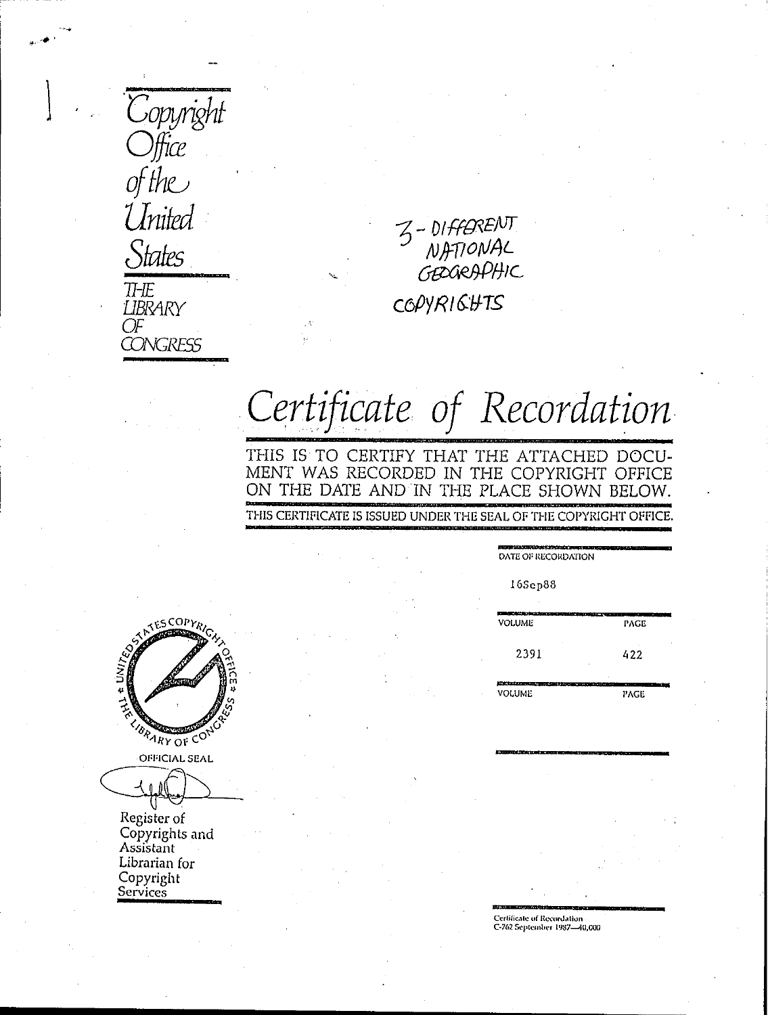Copyright<br>Office<br>of the United States THE LIBRARY Œ CONGRESS

3-DIFFERENT<br>NATIONAL<br>GEOGRAPHIC COPYRIGHTS

Certificate of Recordation

THIS IS TO CERTIFY THAT THE ATTACHED DOCU-MENT WAS RECORDED IN THE COPYRIGHT OFFICE ON THE DATE AND IN THE PLACE SHOWN BELOW.

THIS CERTIFICATE IS ISSUED UNDER THE SEAL OF THE COPYRIGHT OFFICE.



OFFICIAL SEAL

Register of Copyrights and Assistant Librarian for Copyright Services

DATE OF RECORDATION

16Sep88

| í.<br>والشائل<br>                                    | Ŧ             |
|------------------------------------------------------|---------------|
| <b>VOLUME</b>                                        | PAGE          |
| ×.<br>2391                                           | 422<br>٠<br>٠ |
| <b>A BAR A BAR A BAR A BAR A BA</b><br><b>VOLUME</b> | . .<br>PAGE   |

Certificate of Recordation C-762 September 1987-40,000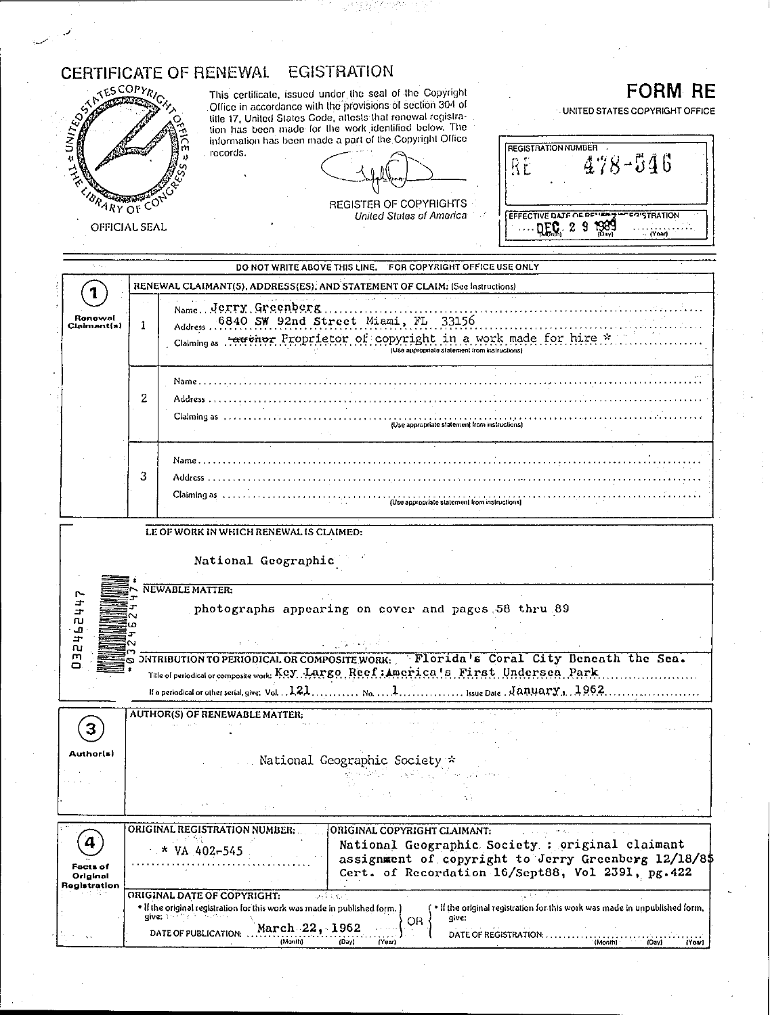### **CERTIFICATE OF RENEWAL EGISTRATION**



OFFICIAL SEAL

This certificate, issued under the seal of the Copyright<br>Office in accordance with the provisions of section 304 of<br>title 17, United States Code, attests that renewal registra-<br>tion has been made for the work identified be records.

REGISTER OF COPYRIGHTS<br>United States of America

## **FORM RE**

UNITED STATES COPYRIGHT OFFICE

| <b>REGISTRATION NUMBER</b> |                                                    |  |
|----------------------------|----------------------------------------------------|--|
| Rт                         | 478-546                                            |  |
|                            |                                                    |  |
|                            |                                                    |  |
|                            | EFFECTIVE DATE OF REMAINING<br><b>LEQ'STRATION</b> |  |
|                            | $-0.56 - 2.9$                                      |  |
|                            | - IYearl                                           |  |

| <b>Contact</b>                                  | DO NOT WRITE ABOVE THIS LINE. FOR COPYRIGHT OFFICE USE ONLY                                                                                                                                                                                                                                                                                                                                                    |
|-------------------------------------------------|----------------------------------------------------------------------------------------------------------------------------------------------------------------------------------------------------------------------------------------------------------------------------------------------------------------------------------------------------------------------------------------------------------------|
| 1                                               | RENEWAL CLAIMANT(S), ADDRESS(ES), AND STATEMENT OF CLAIM: (See instructions)                                                                                                                                                                                                                                                                                                                                   |
| Renowal<br>Claimant(s)                          | Name. Jerry Greenberg<br>1<br>Claiming as tax there Proprietor of copyright in a work made for hire *<br>(Use appropriate statement from instructions)                                                                                                                                                                                                                                                         |
|                                                 | 2<br>Claiming as experience of the contract of the appropriate statement from instructions)                                                                                                                                                                                                                                                                                                                    |
|                                                 | 3<br>Claiming as example in the contract of the statement low instructions)                                                                                                                                                                                                                                                                                                                                    |
| コ<br>വ<br>مہ<br>÷<br><b>n</b><br>m<br>Authoris) | LE OF WORK IN WHICH RENEWAL IS CLAIMED:<br>National Geographic<br><b>NEWABLE MATTER:</b><br>photographs appearing on cover and pages.58 thru.89<br>DINTRIBUTION TO PERIODICAL OR COMPOSITE WORK: Florida's Coral City Beneath the Sea.<br>Tille of periodical or composite work: Key. Largo Recf: America's First Undersea Park<br>.<br><b>AUTHOR(S) OF RENEWABLE MATTER:</b><br>National Geographic Society * |
|                                                 |                                                                                                                                                                                                                                                                                                                                                                                                                |
| Facts of<br>Original<br>Registration            | ORIGINAL REGISTRATION NUMBER:<br>ORIGINAL COPYRIGHT CLAIMANT:<br>National Geographic Society : original claimant<br>* VA 402-545<br>assignment of copyright to Jerry Greenberg 12/18/8\$<br>Cert. of Recordation 16/Sept88, Vol 2391, pg.422<br>ORIGINAL DATE OF COPYRIGHT:<br>ವಾರಿ ಎಲ                                                                                                                         |
|                                                 | • If the original registration for this work was made in unpublished form,<br>• If the original registration for this work was made in published form.<br>give: Profile for<br>give:<br>OR<br>March 22, 1962<br>DATE OF PUBLICATION:<br>DATE OF REGISTRATION: .<br>(Month)<br>(Year)<br>(Month)<br>(Day)<br>(Day)<br>(Year)                                                                                    |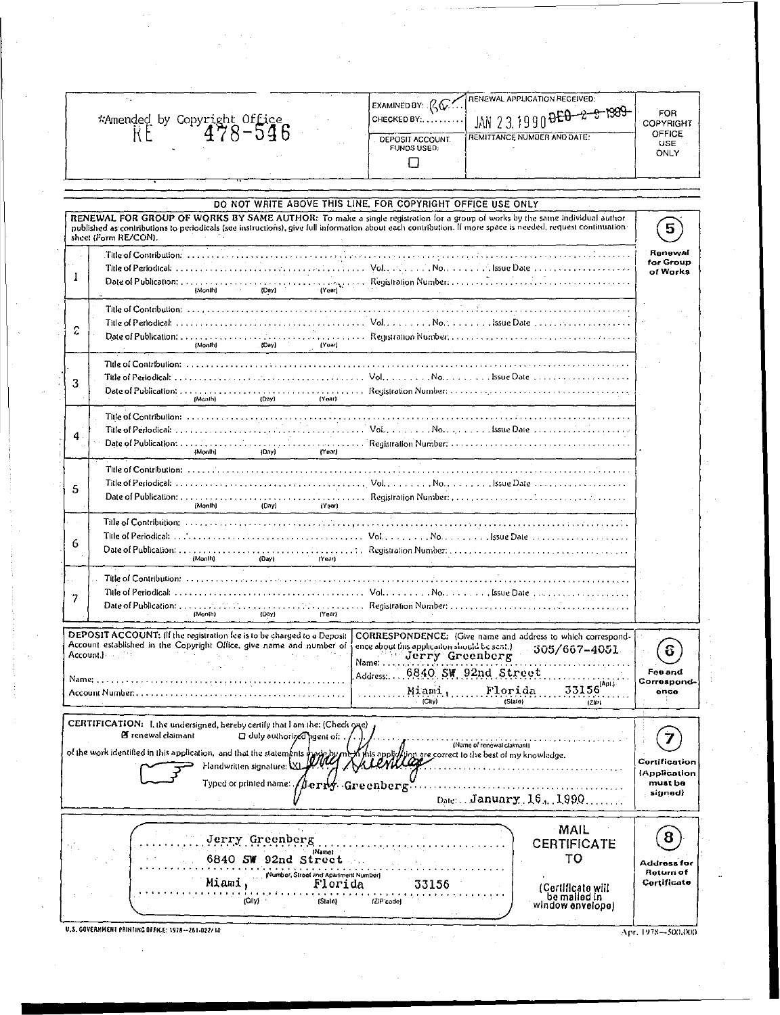RENEWAL APPLICATION RECEIVED: EXAMINED BY: . (SO. JAN 23.1990 <del>DEO 23.1389</del> FOR \*Amended by Copyright Office<br>RE 478-546 CHECKED BY:..... **COPYRIGHT** OFFICE **REMITTANCE NUMBER AND DATE:** DEPOSIT ACCOUNT **USE** FUNDS USED: ONLY  $\Box$ DO NOT WRITE ABOVE THIS LINE, FOR COPYRIGHT OFFICE USE ONLY RENEWAL FOR GROUP OF WORKS BY SAME AUTHOR: To make a single registration for a group of works by the same individual author published as contributions to periodicals (see instructions), give full information about each contribution. If more space is needed, request continuation  $5^{\degree}$ sheet (Form RE/CON). Renewal Title of Contribution: ... for Group Title of Periodical: . . . . . . . . . . . . of Works  $\bf I$ Date of Publication: . . . . . . . . . . . Registration Number: . . . **Month** TDavi **IYoarl** Title of Contribution: .................................  $\overline{z}$ Date of Publication: . . . . . . . . . . . . . ......................... Registration Number: ............. (Dav) ...<br>(Year) Title of Contribution: All Allen Contracts  $\overline{3}$ Title of Contribution: . . . . Title of Periodical: . . . . . . . . Vol. . . . . . . . . No. . . . . . . . . Issue Date . . . . . . . .  $\overline{4}$  $\frac{1}{100}$  $\frac{1}{\sqrt{2}}$ ... Registration Number: ........ Title of Contribution: ....... Title of Periodical: . . . . . . . . ..., Vol. . . . . . . . No. . . . . . . . Issue Date . . . . . . . . .  $\overline{5}$ Date of Publication: ... i<br>TDavi َ<br>Yearl ا Registration Number: . . . . . . . . . . . . Month) Title of Contribution: ................................. 6 Date of Publication: . . . . . . . . . (Month) .<br>(Dav) Title of Contribution: . . Title of Periodical: . . . . . . . . .. Vol. . . . . . . . No. . **Control of Issue Date Inc.**  $\overline{7}$ . Registration Number: . . . . . . . . . .<br>(Year) (Dav) DEPOSIT ACCOUNT: (If the registration fee is to be charged to a Deposit CORRESPONDENCE: (Give name and address to which correspondence about this application should be sent.) 305/667-4051 Account established in the Copyright Ollice, give name and number of ່ຣົ Mame: Jerry Greenberg Account.l: Fon and Name: Miami, Florida  $33156^{(A01)}$ **Correspond** ence Account Number: . . . . . . . . . . . . CERTIFICATION: I, the undersigned, hereby certify that I am the: (Check 94e) O duly authorized pgent of. Ø renewal claimant  $\overline{\mathbf{z}}$ (Name of renewal claimani) of the work identified in this application, and that the statements  $\phi$ n are correct to the best of my knowledge. .<br>Cortification Handwritten signature: VI **Application** Ó Typed or printed name:  $\sqrt{\beta}$  errly  $\beta$  . Greenberg  $\cdots$ must he signed)  $D_{\text{ate}}$ ... January. 16, 1990...... **MAIL**  $\mathbf{8}$ Jerry Greenberg **CERTIFICATE** 6840 SW 92nd Street **TO** .<br>Address for Figure 1999<br>For Street and Apartment Number a a Michael Ann an Louis Return of Miami, Mian.<br>City  $F1$  or  $i$  da  $i$ <sup>29</sup> code) 33156 Certificate (Cortificate will<br>be mailed in window envelope) U.S. GOVERNMENT PRINTING OFFICE: 1978-261-022/10 Apr. 1978-500,000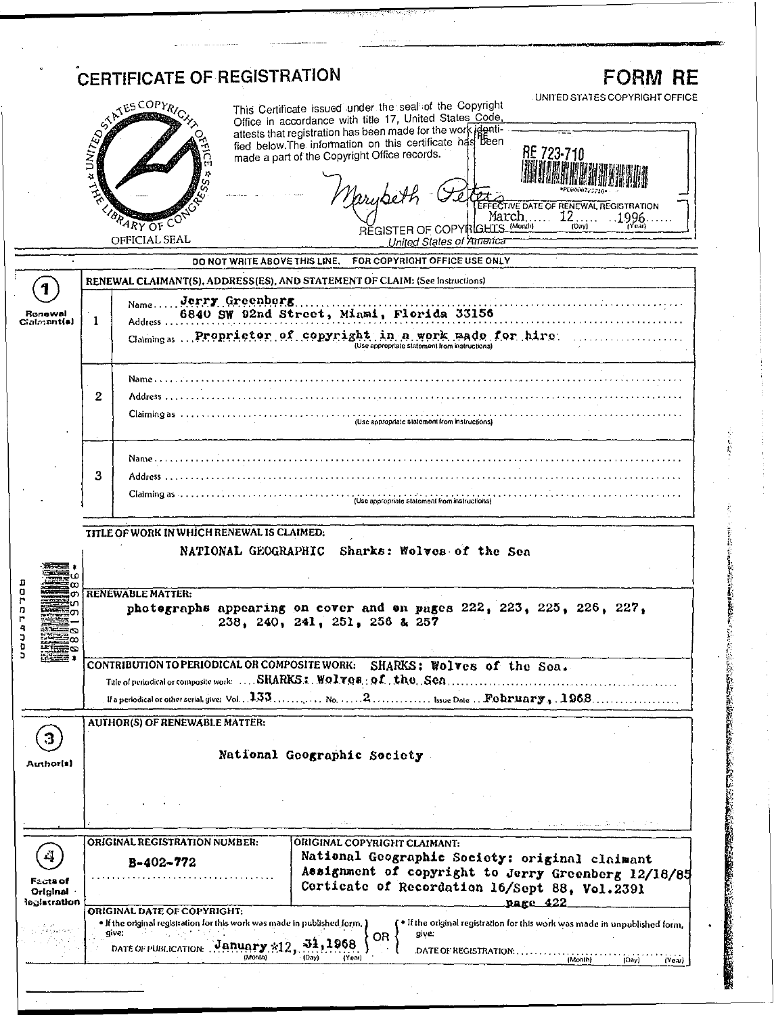|                                           |   | <b>CERTIFICATE OF REGISTRATION</b>                                                 |                                                                                                                                                                                                                                                                                                |                                                            | FORM RE                                                                                                                                                            |
|-------------------------------------------|---|------------------------------------------------------------------------------------|------------------------------------------------------------------------------------------------------------------------------------------------------------------------------------------------------------------------------------------------------------------------------------------------|------------------------------------------------------------|--------------------------------------------------------------------------------------------------------------------------------------------------------------------|
|                                           | 석 | ANTESCOPYRIC<br>RARY OF CO<br>OFFICIAL SEAL                                        | This Certificate issued under the seal of the Copyright<br>Office in accordance with title 17, United States Code,<br>attests that registration has been made for the work identi-<br>fied below. The information on this certificate has been<br>made a part of the Copyright Office records. | REGISTER OF COPYRIGHTS (Manth)<br>United States of America | UNITED STATES COPYPIGHT OFFICE<br>RE 723-710<br><b>IVE DATE OF RENEWAL REGISTRATION</b><br>March.<br>.1996.                                                        |
|                                           |   |                                                                                    | DO NOT WRITE ABOVE THIS LINE.                                                                                                                                                                                                                                                                  | FOR COPYRIGHT OFFICE USE ONLY                              |                                                                                                                                                                    |
|                                           |   |                                                                                    | RENEWAL CLAIMANT(S), ADDRESS(ES), AND STATEMENT OF CLAIM: (See Instructions)                                                                                                                                                                                                                   |                                                            |                                                                                                                                                                    |
| Bonawal<br>Cialmont(#)                    | 1 | Jerry Greenberg<br>Name<br>Address                                                 | 6840 SW 92nd Street, Miami, Florida 33156<br>Claiming as  Proprietor of copyright in a work made for hire:                                                                                                                                                                                     | (Use appropriate statement from instructions)              |                                                                                                                                                                    |
|                                           | 2 | Name<br>Address<br>Claiming as                                                     |                                                                                                                                                                                                                                                                                                | (Use appropriate statement from instructions)              |                                                                                                                                                                    |
|                                           | 3 | Name<br>Address                                                                    |                                                                                                                                                                                                                                                                                                |                                                            |                                                                                                                                                                    |
| œ<br>m                                    |   | TITLE OF WORK IN WHICH RENEWAL IS CLAIMED:<br><b>RENEWABLE MATTER:</b>             | NATIONAL GEOGRAPHIC<br>238, 240, 241, 251, 256 & 257                                                                                                                                                                                                                                           | Sharks: Wolves of the Sea                                  | photographs appearing on cover and on pages $222$ , $223$ , $225$ , $226$ , $227$ ,                                                                                |
|                                           |   |                                                                                    | CONTRIBUTION TO PERIODICAL OR COMPOSITE WORK: SHARKS: Wolves of the Soa.<br>Tate of periodical or composite work:  SRARKS: WOLTOB: Of., tho., Sen.,                                                                                                                                            |                                                            |                                                                                                                                                                    |
| 3<br>Amhoris)                             |   | <b>AUTHOR(S) OF RENEWABLE MATTER:</b>                                              | National Geographic Society                                                                                                                                                                                                                                                                    |                                                            |                                                                                                                                                                    |
|                                           |   |                                                                                    |                                                                                                                                                                                                                                                                                                |                                                            |                                                                                                                                                                    |
| 4<br>Facta of<br>Original<br>legistration |   | <b>ORIGINAL REGISTRATION NUMBER:</b><br>$B-402-772$<br>ORIGINAL DATE OF COPYRIGHT: | ORIGINAL COPYRIGHT CLAIMANT:                                                                                                                                                                                                                                                                   |                                                            | National Geographic Society: original claimant<br>Assignment of copyright to Jerry Greenberg 12/18/85<br>Corticate of Recordation 16/Sept 88, Vol.2391<br>page 422 |
|                                           |   | . If the original registration for this work was made in published form, I         |                                                                                                                                                                                                                                                                                                |                                                            | ( • If the original registration for this work was made in unpublished form,                                                                                       |

 $\ddot{\phantom{a}}$ 

 $\label{eq:1} \begin{aligned} \mathcal{L}_{\text{max}}(\mathcal{L}_{\text{max}}, \mathcal{L}_{\text{max}}(\mathcal{L}_{\text{max}})) \leq \mathcal{L}_{\text{max}}(\mathcal{L}_{\text{max}}(\mathcal{L}_{\text{max}}(\mathcal{L}_{\text{max}}(\mathcal{L}_{\text{max}}(\mathcal{L}_{\text{max}}(\mathcal{L}_{\text{max}}(\mathcal{L}_{\text{max}}(\mathcal{L}_{\text{max}}(\mathcal{L}_{\text{max}}(\mathcal{L}_{\text{max}}(\mathcal{L}_{\text{max}}(\mathcal{L}_{\text{max}}(\mathcal{L}_{\text{max}}(\mathcal{L}_{$ 

 $\frac{1}{\sqrt{2}}$  $\ddot{\phantom{0}}$ 

Ŷ,

「このこと」ということに、「このことは、「このことは、「このことに、「このことは、「このことは、「このことは、「このことは、「このことは、「このことは、「このこと」ということ」ということに、「このこと このことには、「このことは、「このことは、「このことは、「このことは、「このことは、「このことは、「このことは、「このことは、「このことは、「このことは、「このことは、「このことは、「このことは、「このことは、「このことは、「このことは、

দ্যুক<br>ব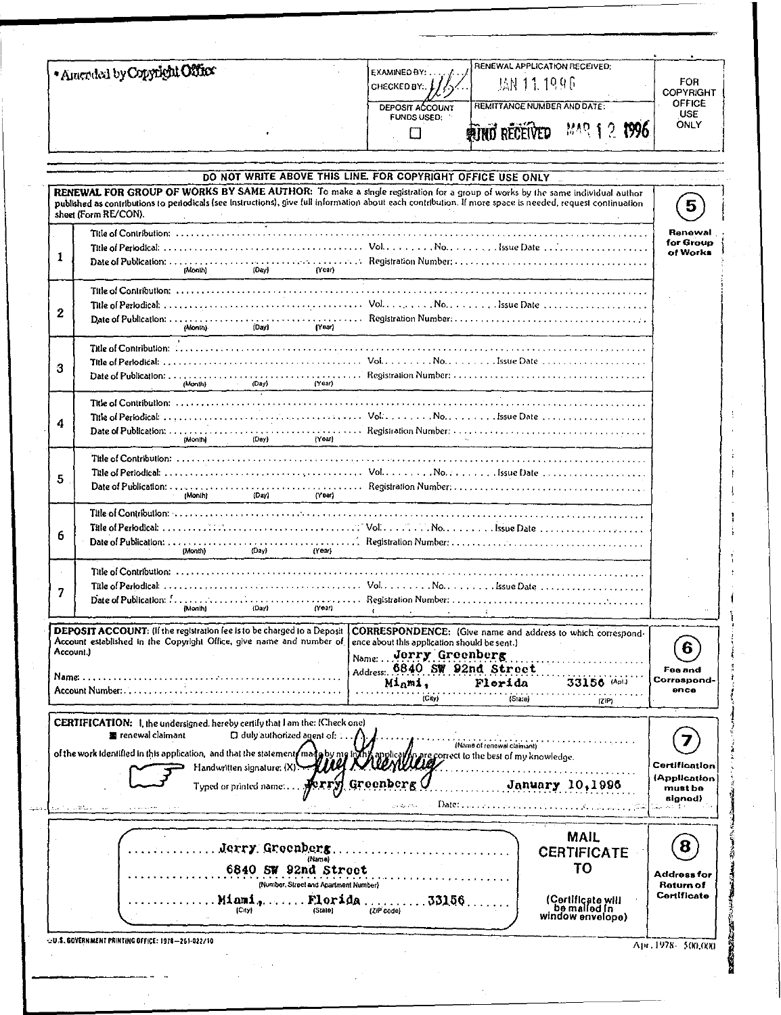|           | * Amended by Copyright Office                                                                                                                                                                                                                                                                               | EXAMINED BY: .<br>CHECKED BY:. L             | <b>RENEWAL APPLICATION RECEIVED:</b><br>JAN 11.1996                                                                  | <b>FOR</b><br><b>COPYRIGHT</b> |
|-----------|-------------------------------------------------------------------------------------------------------------------------------------------------------------------------------------------------------------------------------------------------------------------------------------------------------------|----------------------------------------------|----------------------------------------------------------------------------------------------------------------------|--------------------------------|
|           |                                                                                                                                                                                                                                                                                                             | <b>DEPOSIT ACCOUNT</b>                       | <b>REMITTANCE NUMBER AND DATE:</b>                                                                                   | OFFICE<br><b>USE</b>           |
|           |                                                                                                                                                                                                                                                                                                             | <b>FUNDS USED.</b><br>□                      | <b>SOND RECEIVED</b> MAR 1 2 1996                                                                                    | <b>ONLY</b>                    |
|           |                                                                                                                                                                                                                                                                                                             |                                              |                                                                                                                      |                                |
|           | DO NOT WRITE ABOVE THIS LINE. FOR COPYRIGHT OFFICE USE ONLY                                                                                                                                                                                                                                                 |                                              |                                                                                                                      |                                |
|           | RENEWAL FOR GROUP OF WORKS BY SAME AUTHOR: To make a single registration for a group of works by the same individual author                                                                                                                                                                                 |                                              |                                                                                                                      |                                |
|           | published as contributions to periodicals (see instructions), give full information about each contribution. If more space is needed, request continuation<br>sheet (Form RE/CON).<br><u>a barang dengan sarang pangang pangang pangang pangang pangang pangang pangang pangang pangang pangang pangang</u> |                                              |                                                                                                                      |                                |
|           |                                                                                                                                                                                                                                                                                                             |                                              |                                                                                                                      | Renewal<br>for Group           |
| 1         | (Day)<br>(Year)<br>(Month)                                                                                                                                                                                                                                                                                  |                                              |                                                                                                                      | of Works                       |
|           |                                                                                                                                                                                                                                                                                                             |                                              |                                                                                                                      |                                |
| 2         | (Day)<br>(Y <sub>0</sub> )<br>(Month)                                                                                                                                                                                                                                                                       |                                              |                                                                                                                      |                                |
|           |                                                                                                                                                                                                                                                                                                             |                                              |                                                                                                                      |                                |
| 3         |                                                                                                                                                                                                                                                                                                             |                                              |                                                                                                                      |                                |
|           | (Year)<br>(Day)<br>(Month)                                                                                                                                                                                                                                                                                  |                                              |                                                                                                                      |                                |
|           |                                                                                                                                                                                                                                                                                                             |                                              |                                                                                                                      |                                |
| 4         |                                                                                                                                                                                                                                                                                                             |                                              |                                                                                                                      |                                |
|           | (Month)<br>fDay<br>tYear)                                                                                                                                                                                                                                                                                   |                                              | <u> 2000 - 2000 - 2000 - 2000 - 2000 - 2000 - 2000 - 2000 - 2000 - 2000 - 2000 - 2000 - 2000 - 2000 - 2000 - 200</u> |                                |
| 5         |                                                                                                                                                                                                                                                                                                             |                                              |                                                                                                                      |                                |
|           | (Year)<br>(Month)<br>(Day)                                                                                                                                                                                                                                                                                  |                                              |                                                                                                                      |                                |
|           |                                                                                                                                                                                                                                                                                                             |                                              |                                                                                                                      |                                |
| 6         |                                                                                                                                                                                                                                                                                                             |                                              |                                                                                                                      |                                |
|           | (Month)<br>(Day)<br>(Year)                                                                                                                                                                                                                                                                                  |                                              |                                                                                                                      |                                |
|           | Title of Periodical:                                                                                                                                                                                                                                                                                        |                                              |                                                                                                                      |                                |
| 7         | Date of Publication: $\left\{ \ldots, \ldots \right\}$<br>(Year)<br>(Month)<br>(Day)                                                                                                                                                                                                                        |                                              |                                                                                                                      |                                |
|           | <b>DEPOSIT ACCOUNT:</b> (If the registration fee is to be charged to a Deposit<br>Account established in the Copyright Office, give name and number of                                                                                                                                                      | ence about this application should be sent.) | CORRESPONDENCE: (Give name and address to which correspond-                                                          |                                |
| Account.) |                                                                                                                                                                                                                                                                                                             | Jerry Greenberg<br>Name:                     |                                                                                                                      | 6                              |
|           |                                                                                                                                                                                                                                                                                                             | Address: 6840 SW 92nd Street<br>Miami,       | Florida<br>33156 (April)                                                                                             | Fee and<br>Correspond-         |
|           |                                                                                                                                                                                                                                                                                                             | (City)                                       | $(S_1a,e)$<br>(ZiP)                                                                                                  | ence                           |
|           | CERTIFICATION: 1, the undersigned. hereby certify that I am the: (Check one)                                                                                                                                                                                                                                |                                              |                                                                                                                      |                                |
|           | 量 renewal claimant<br>$\Box$ duly authorized agent of: $\Box$<br>of the work identified in this application, and that the statement made by mg in his applical para correct to the best of my knowledge.                                                                                                    |                                              | (Name of renewal claimant)                                                                                           |                                |
|           | Handwritten signature: (X) -- WULLER MULLER                                                                                                                                                                                                                                                                 |                                              |                                                                                                                      | Certification                  |
|           | Typed or printed name: $\ldots$ $\mathcal{W}$ $\mathcal{X}$ $\mathcal{Y}$ .                                                                                                                                                                                                                                 | Greenberg                                    | January 10,1996                                                                                                      | (Application<br>must be        |
|           |                                                                                                                                                                                                                                                                                                             | $\mu$ is $M_{\rm B}$ . Then                  | Date: $\ldots$ , $\ldots$ , $\ldots$ , $\ldots$ , $\ldots$ , $\ldots$ , $\ldots$                                     | signed)                        |
|           | Jerry, Greenberg,                                                                                                                                                                                                                                                                                           |                                              | <b>MAIL</b>                                                                                                          | 8                              |
|           | (Name)<br>6840 SW 92nd Street                                                                                                                                                                                                                                                                               |                                              | <b>CERTIFICATE</b><br>ΤО                                                                                             | Address for                    |
|           | (Number, Street and Apartment Number)<br>Miami,  Florida33156                                                                                                                                                                                                                                               |                                              | (Certificate will<br>, be mailed in                                                                                  | Roturn of<br>Certificate       |
|           | (City)<br>(State)                                                                                                                                                                                                                                                                                           | (ZiP code)                                   | window envelope)                                                                                                     |                                |
|           | ⇔U.S.GOVERNMENT PRINTING OFFICE: 1978—261-022/10                                                                                                                                                                                                                                                            |                                              |                                                                                                                      |                                |

i.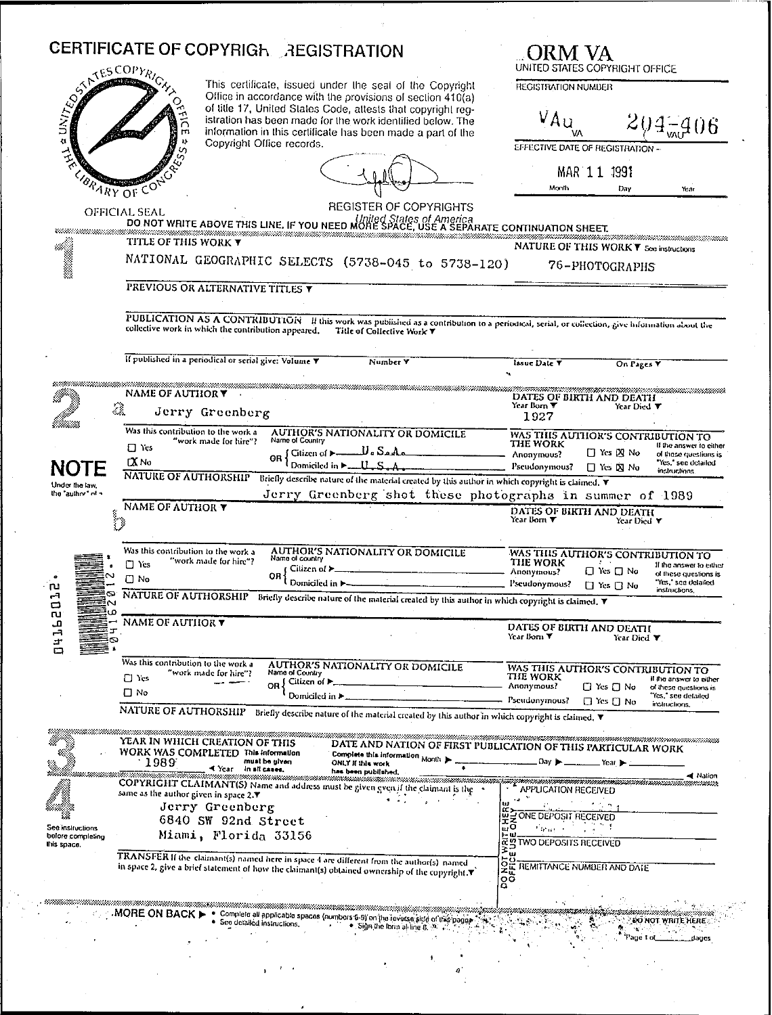### CERTIFICATE OF COPYRIGH AEGISTRATION

|                                     | <b>CERTIFICATE OF COPYRIGH AEGISTRATION</b>                                                                                                                                                                                                                                                                                                                                                                                                                                                                                                                      | ORM VA<br>UNITED STATES COPYRIGHT OFFICE                                                                                                                                                                                  |
|-------------------------------------|------------------------------------------------------------------------------------------------------------------------------------------------------------------------------------------------------------------------------------------------------------------------------------------------------------------------------------------------------------------------------------------------------------------------------------------------------------------------------------------------------------------------------------------------------------------|---------------------------------------------------------------------------------------------------------------------------------------------------------------------------------------------------------------------------|
| <b>ATL</b><br>¢.                    | This certificate, issued under the seal of the Copyright<br>Office in accordance with the provisions of section 410(a)<br>of title 17. United States Code, attests that copyright reg-<br>برد<br>istration has been made for the work identified below. The<br>information in this certificate has been made a part of the<br>13                                                                                                                                                                                                                                 | REGISTRATION NUMBER<br>VA <sub>u</sub><br>$204 - 406$                                                                                                                                                                     |
| $\frac{1}{2}$                       | Copyright Office records.<br>LIBRARY OF CON                                                                                                                                                                                                                                                                                                                                                                                                                                                                                                                      | EFFECTIVE DATE OF REGISTRATION -<br>MAR 11 1991<br>Month<br>Dπγ<br>Year                                                                                                                                                   |
|                                     | <b>REGISTER OF COPYRIGHTS</b><br>OFFICIAL SEAL<br>L SEAL<br>DO NOT WRITE ABOVE THIS LINE. IF YOU NEED MORE SPACE, USE A SEPARATE CONTINUATION SHEET.<br>TITLE OF THIS WORK ▼<br>NATIONAL GEOGRAPHIC SELECTS (5738-045 to 5738-120)                                                                                                                                                                                                                                                                                                                               | NATURE OF THIS WORK ▼ Soc instructions<br>76-PHOTOGRAPHS                                                                                                                                                                  |
|                                     | PREVIOUS OR ALTERNATIVE TITLES V<br>PUBLICATION AS A CONTRIBUTION if this work was published as a contribution to a periodical, serial, or collection, give information about the<br>collective work in which the contribution appeared.<br>Title of Collective Work V<br>If published in a periodical or serial give: Volume V<br>Number Y                                                                                                                                                                                                                      | Issue Date T<br>On Pages Y                                                                                                                                                                                                |
|                                     | NAME OF AUTHOR <b>Y</b><br>â<br>Jerry Greenberg                                                                                                                                                                                                                                                                                                                                                                                                                                                                                                                  | DATES OF BIKTH AND DEATH<br>Year Born T<br>Year Died Y<br>1927                                                                                                                                                            |
| Under the law.<br>the "author" of a | Was this contribution to the work a<br><b>AUTHOR'S NATIONALITY OR DOMICILE</b><br>Name of Country<br>"work made for hire"?<br>$\square$ Yes<br><u> U = Sado _________</u><br>Citizen of $\blacktriangleright$ -<br>OR<br>Domiciled in $\blacktriangleright$ $\ldots$ $\blacksquare$ $\blacktriangleright$ $S_{\blacktriangleright}$ $\blacklozenge$<br>$\alpha$ No<br><b>NATURE OF AUTHORSHIP</b><br>Briefly describe nature of the material created by this author in which copyright is claimed. Y<br>Jerry Greenberg shot these photographs in summer of 1989 | WAS THIS AUTHOR'S CONTRIBUTION TO<br><b>THE WORK</b><br>If the answer to either<br>□ Yes 図 No<br>Anonymous?<br>of these questions is<br>Yes," see detailed<br>Pseudonymous?<br>$\Box$ Yes $\boxtimes$ No<br>instructions. |
|                                     | NAME OF AUTHOR V                                                                                                                                                                                                                                                                                                                                                                                                                                                                                                                                                 | DATES OF BIKTH AND DEATH<br>Year Born ▼<br>Year Died Y                                                                                                                                                                    |
| ロ                                   | Was this contribution to the work a<br><b>AUTHOR'S NATIONALITY OR DOMICILE</b><br>Name of country<br>"work made for hire"?<br>$\Box$ Yes<br>Cilizen of $\blacktriangleright$ .<br>OR.<br>□ No<br>Domiciled in $\blacktriangleright$<br>NATURE OF AUTHORSHIP<br>Briefly describe nature of the material created by this author in which copyright is claimed. T                                                                                                                                                                                                   | WAS THIS AUTHOR'S CONTRIBUTION TO<br>THE WORK<br>If the answer to either<br>$\Box$ Yes $\Box$ No<br>Anonymous?<br>of these questions is<br>Yes," see detailed<br>Pseudonymous?<br>$\Box$ Yes $\Box$ No<br>instructions.   |
| ഡ<br>ℶ                              | NAME OF AUTHOR <b>v</b>                                                                                                                                                                                                                                                                                                                                                                                                                                                                                                                                          | DATES OF BIRTH AND DEATH<br>Year Born ▼<br>Year Died <b>Y</b>                                                                                                                                                             |
|                                     | Was this contribution to the work a<br><b>AUTHOR'S NATIONALITY OR DOMICILE</b><br>"work made for hire"?<br>Name of Country<br>$\Box$ Yes<br>Citizen of $\blacktriangleright$<br>OR-<br>$\Box$ No<br>Domiciled in $\blacktriangleright$<br>NATURE OF AUTHORSHIP                                                                                                                                                                                                                                                                                                   | WAS THIS AUTHOR'S CONTRIBUTION TO<br>THE WORK<br>il ihe answer to either<br>Anonymous?<br>$\Box$ Yes $\Box$ No<br>of these questions is<br>"Yes," see detailed<br>Pscudonymous?<br>$\Box$ Yes $\Box$ No<br>instructions.  |
|                                     | Briefly describe nature of the material created by this author in which copyright is claimed. ▼<br>YEAR IN WHICH CREATION OF THIS<br>WORK WAS COMPLETED This information<br>Complete this information Month<br>muat be given<br>1989<br>ONLY If this work<br>⊀ Year<br>in all cases.<br>has been published.                                                                                                                                                                                                                                                      | DATE AND NATION OF FIRST PUBLICATION OF THIS PARTICULAR WORK<br>Day 1<br>Year 1                                                                                                                                           |
| See instructions                    | COPYRIGHT CLAIMANT(S) Name and address must be given gven if the claimant is the<br>same as the author given in space 2.7<br>Jerry Greenberg<br>6840 SW 92nd Street                                                                                                                                                                                                                                                                                                                                                                                              | d Nation<br>ana ama ama ama any ao amin'ny fivondronan-dia . Ilay kaominina dia kaominina mpikambana amin'ny fivondronan-d<br><b>APPUCATION RECEIVED</b><br>w<br>ONE DEPOSIT RECEIVED<br>шŐ                               |
| before completing<br>this space.    | Miami, Florida 33156<br>TRANSFER If the claimant(s) named here in space 4 are different from the author(s) named<br>in space 2, give a brief statement of how the claimant(s) obtained ownership of the copyright. $\overline{\mathbf{r}}$                                                                                                                                                                                                                                                                                                                       | <b>Sharp</b> in<br><b>2 TWO DEPOSITS RECEIVED</b><br>$\bar{\bm{z}}_{\bm{\psi}}$<br>5۵<br>IE REMITTANCE NUMBER AND DATE<br>oo<br>۵                                                                                         |
|                                     | a kata ing kabupatèn Kabupatèn Kabupatèn Kabupatèn Kabupatèn Kabupatèn Kabupatèn Kabupatèn Kabupatèn Kabupatèn<br>MORE ON BACK > . Complete all applicable spaces (numbers 5-9) on the reverse side of this pages<br>See detailed instructions.<br>● Sign the form at line 8. A.                                                                                                                                                                                                                                                                                 | DO NOT WRITE HERE<br>Page Fot                                                                                                                                                                                             |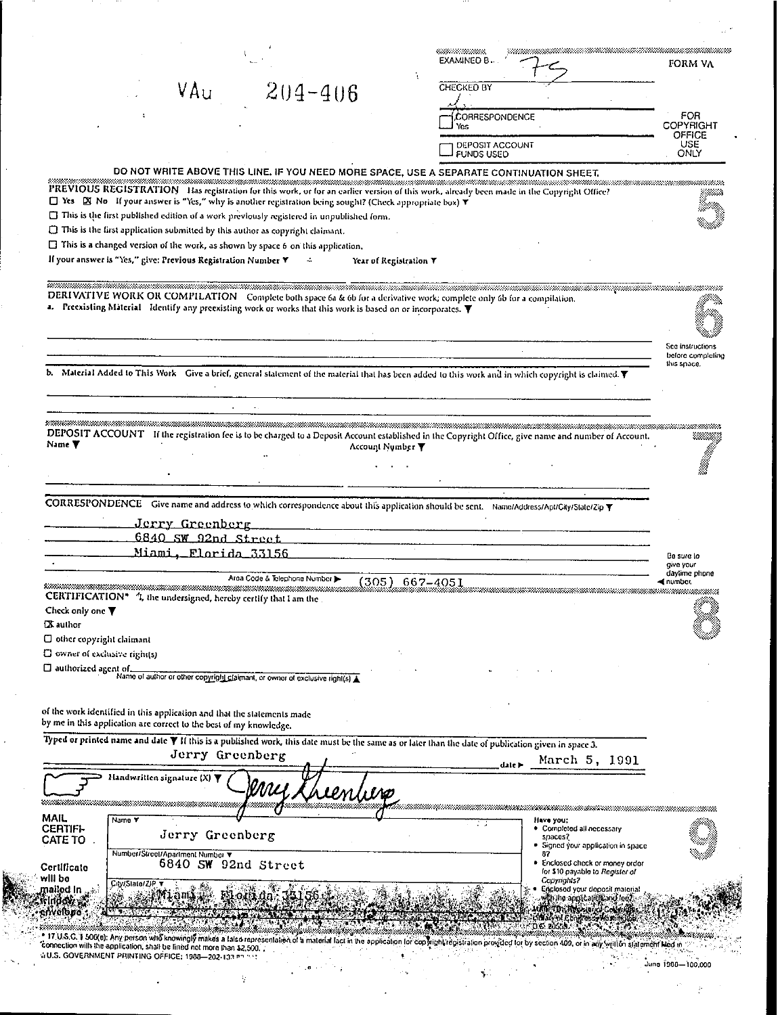|                                             |                  |                                                                                                                                               |                                                                                                                                                                                | 483 PARTA BERTALA<br>EXAMINED B.                                                                                                                                                                                           | form va                          |
|---------------------------------------------|------------------|-----------------------------------------------------------------------------------------------------------------------------------------------|--------------------------------------------------------------------------------------------------------------------------------------------------------------------------------|----------------------------------------------------------------------------------------------------------------------------------------------------------------------------------------------------------------------------|----------------------------------|
|                                             |                  |                                                                                                                                               |                                                                                                                                                                                | <b>CHECKED BY</b>                                                                                                                                                                                                          |                                  |
|                                             |                  |                                                                                                                                               | $VAu = 204 - 406$                                                                                                                                                              |                                                                                                                                                                                                                            |                                  |
|                                             |                  |                                                                                                                                               |                                                                                                                                                                                | CORRESPONDENCE<br>Yes                                                                                                                                                                                                      | FOR<br>COPYRIGHT                 |
|                                             |                  |                                                                                                                                               |                                                                                                                                                                                | DEPOSIT ACCOUNT<br><b>FUNDS USED</b>                                                                                                                                                                                       | OFFICE<br>USE<br>ONLY            |
|                                             |                  |                                                                                                                                               |                                                                                                                                                                                | DO NOT WRITE ABOVE THIS LINE. IF YOU NEED MORE SPACE, USE A SEPARATE CONTINUATION SHEET.                                                                                                                                   |                                  |
|                                             |                  |                                                                                                                                               |                                                                                                                                                                                | PREVIOUS REGISTRATION Has registration for this work, or for an earlier version of this work, already been made in the Copyright Office?                                                                                   |                                  |
|                                             |                  |                                                                                                                                               | □ Yes 図 No If your answer is "Yes," why is another registration being sought? (Check appropriate box) ▼                                                                        |                                                                                                                                                                                                                            |                                  |
|                                             |                  |                                                                                                                                               | $\Box$ This is the first published edition of a work previously registered in unpublished form.                                                                                |                                                                                                                                                                                                                            |                                  |
|                                             |                  |                                                                                                                                               | $\Box$ This is the first application submitted by this author as copyright claimant.<br>$\Box$ This is a changed version of the work, as shown by space 6 on this application. |                                                                                                                                                                                                                            |                                  |
|                                             |                  | If your answer is "Yes," give: Previous Registration Number Y                                                                                 | 4                                                                                                                                                                              | Year of Registration <b>V</b>                                                                                                                                                                                              |                                  |
|                                             |                  |                                                                                                                                               |                                                                                                                                                                                |                                                                                                                                                                                                                            |                                  |
|                                             |                  |                                                                                                                                               | <b>Preexisting Material</b> Identify any preexisting work or works that this work is based on or incorporates. $\blacktriangledown$                                            | DERIVATIVE WORK OR COMPILATION Complete both space 6a & 6b for a derivative work; complete only 6b for a compilation.                                                                                                      |                                  |
|                                             |                  |                                                                                                                                               |                                                                                                                                                                                |                                                                                                                                                                                                                            | See instructions                 |
|                                             |                  |                                                                                                                                               |                                                                                                                                                                                |                                                                                                                                                                                                                            | before completing<br>this space. |
|                                             |                  |                                                                                                                                               |                                                                                                                                                                                | b. Material Added to This Work – Give a brief, general statement of the material that has been added to this work and in which copyright is claimed. $\blacktriangledown$                                                  |                                  |
|                                             |                  |                                                                                                                                               |                                                                                                                                                                                |                                                                                                                                                                                                                            |                                  |
|                                             |                  |                                                                                                                                               | 1999-1999 - 1999-1999 1999 1999 - 1999 - 1999 - 1999 - 1999 - 1999 - 1999 - 1999 - 1999 - 1999 - 1999 - 1999 -                                                                 |                                                                                                                                                                                                                            |                                  |
| Name $\Psi$                                 |                  |                                                                                                                                               | Account Number ▼                                                                                                                                                               | DEPOSIT ACCOUNT If the registration fee is to be charged to a Deposit Account established in the Copyright Office, give name and number of Account.                                                                        |                                  |
|                                             |                  |                                                                                                                                               |                                                                                                                                                                                |                                                                                                                                                                                                                            |                                  |
|                                             |                  |                                                                                                                                               |                                                                                                                                                                                |                                                                                                                                                                                                                            |                                  |
|                                             |                  |                                                                                                                                               |                                                                                                                                                                                |                                                                                                                                                                                                                            |                                  |
| <b>CORRESPONDENCE</b>                       |                  |                                                                                                                                               |                                                                                                                                                                                | Give name and address to which correspondence about this application should be sent. Name/Address/Apt/City/State/Zip $\Psi$                                                                                                |                                  |
|                                             |                  | Jerry Greenberg                                                                                                                               |                                                                                                                                                                                |                                                                                                                                                                                                                            |                                  |
|                                             |                  | 6840 SW 92nd Street<br>Miami, Florida 33156                                                                                                   |                                                                                                                                                                                |                                                                                                                                                                                                                            |                                  |
|                                             |                  |                                                                                                                                               |                                                                                                                                                                                |                                                                                                                                                                                                                            | Bo sure lo<br>give your          |
|                                             |                  |                                                                                                                                               | Area Code & Telephone Number<br>(305)                                                                                                                                          | 667-4051                                                                                                                                                                                                                   | daylime phone<br>a number,       |
|                                             |                  | CERTIFICATION* 4, the undersigned, hereby certify that I am the                                                                               |                                                                                                                                                                                |                                                                                                                                                                                                                            |                                  |
| Check only one $\Psi$<br>$\mathbf T$ author |                  |                                                                                                                                               |                                                                                                                                                                                |                                                                                                                                                                                                                            |                                  |
| <b>C</b> other copyright claimant           |                  |                                                                                                                                               |                                                                                                                                                                                |                                                                                                                                                                                                                            |                                  |
| C owner of exclusive right(s)               |                  |                                                                                                                                               |                                                                                                                                                                                |                                                                                                                                                                                                                            |                                  |
| $\square$ authorized agent of $\square$     |                  |                                                                                                                                               |                                                                                                                                                                                |                                                                                                                                                                                                                            |                                  |
|                                             |                  |                                                                                                                                               | Name of author or other copyright claimant, or owner of exclusive right(s)                                                                                                     |                                                                                                                                                                                                                            |                                  |
|                                             |                  |                                                                                                                                               |                                                                                                                                                                                |                                                                                                                                                                                                                            |                                  |
|                                             |                  | of the work identified in this application and that the statements made<br>by me in this application are correct to the best of my knowledge. |                                                                                                                                                                                |                                                                                                                                                                                                                            |                                  |
|                                             |                  |                                                                                                                                               |                                                                                                                                                                                | Typed or printed name and date $\Psi$ if this is a published work, this date must be the same as or later than the date of publication given in space 3.                                                                   |                                  |
|                                             |                  | Jerry Greenberg                                                                                                                               |                                                                                                                                                                                | March 5, 1991                                                                                                                                                                                                              |                                  |
|                                             |                  | Handwritten signature $(X)$                                                                                                                   |                                                                                                                                                                                | date F                                                                                                                                                                                                                     |                                  |
|                                             |                  |                                                                                                                                               | 'ı VID                                                                                                                                                                         |                                                                                                                                                                                                                            |                                  |
|                                             |                  |                                                                                                                                               |                                                                                                                                                                                |                                                                                                                                                                                                                            |                                  |
| MAIL.<br><b>CERTIFI-</b>                    | Namo Y           |                                                                                                                                               |                                                                                                                                                                                | Have you:<br>• Completed all necessary                                                                                                                                                                                     |                                  |
| <b>CATE TO</b>                              |                  | Jerry Greenberg                                                                                                                               |                                                                                                                                                                                | spaces?<br>Signed your application in space                                                                                                                                                                                |                                  |
| Certificate                                 |                  | Number/Street/Apartment Number Y<br>6840 SW 92nd Street                                                                                       |                                                                                                                                                                                | מת<br>● Enclosed check or money order                                                                                                                                                                                      |                                  |
| rill bo                                     | City/Slate/ZiP 1 |                                                                                                                                               |                                                                                                                                                                                | for \$10 payable to Register of<br>Copyrights?                                                                                                                                                                             |                                  |
| nailed in<br>rindow - S<br>: nvolopo        |                  | ລກນ                                                                                                                                           | : odtraa :                                                                                                                                                                     | Enclosed your deposit material<br>Alh the application and fee ?!<br>MATE TO A Reference Computer<br>ორას ს Congress Washington                                                                                             |                                  |
|                                             |                  |                                                                                                                                               |                                                                                                                                                                                | 10.51205.35<br>17 U.S.C. 1 500(o). Any person with knowingly makes a falso representation of a material fact in the application for copyright registration provided tot by section 400, or in any will be satisment Hed in |                                  |
|                                             |                  | connection with the application, shall be lined not more than $\mathtt{s2,500.}$ ,<br>4U.S. GOVERNMENT PRINTING OFFICE: 1988-202-133 Phinist  |                                                                                                                                                                                |                                                                                                                                                                                                                            |                                  |
|                                             |                  |                                                                                                                                               |                                                                                                                                                                                |                                                                                                                                                                                                                            | June 1988-100,000                |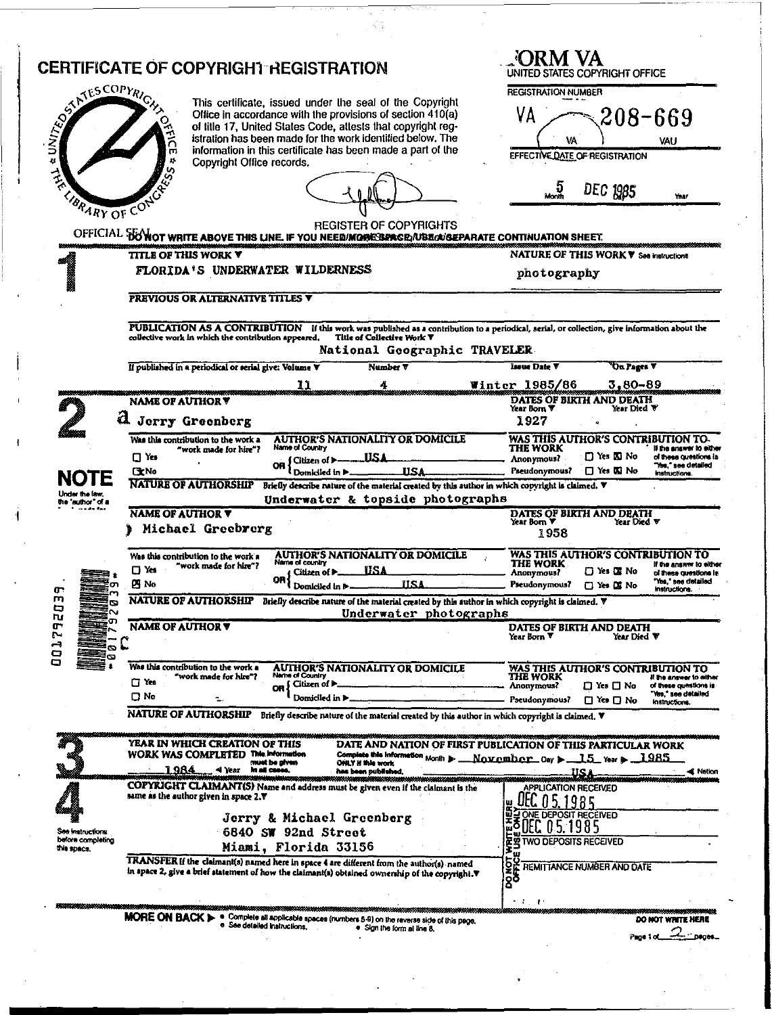|                                       | <b>CERTIFICATE OF COPYRIGHT REGISTRATION</b>                                                                                                                                                                                                                                                                                                          | <b>ORM VA</b><br>UNITED STATES COPYRIGHT OFFICE                                                                                                                                                                     |
|---------------------------------------|-------------------------------------------------------------------------------------------------------------------------------------------------------------------------------------------------------------------------------------------------------------------------------------------------------------------------------------------------------|---------------------------------------------------------------------------------------------------------------------------------------------------------------------------------------------------------------------|
| AT.<br>7/2                            | This certificate, issued under the seal of the Copyright<br>Office in accordance with the provisions of section 410(a)<br>of title 17, United States Code, attests that copyright reg-<br>istration has been made for the work identified below. The<br>information in this certificate has been made a part of the<br>π<br>Copyright Office records. | <b>REGISTRATION NUMBER</b><br>٧A<br>$208\hbox{--}669$<br>٧A<br><b>VAU</b><br>EFFECTIVE DATE OF REGISTRATION                                                                                                         |
| LIBRARY OF CONG                       |                                                                                                                                                                                                                                                                                                                                                       | 5<br>DEC 1985<br>Month<br>Year                                                                                                                                                                                      |
|                                       | REGISTER OF COPYRIGHTS<br>OFFICIAL HONOT WRITE ABOVE THIS LINE. IF YOU NEED/MORES BRACE/US ECONOMIC CONTINUATION SHEET                                                                                                                                                                                                                                |                                                                                                                                                                                                                     |
|                                       | <b>TITLE OF THIS WORK V</b><br>FLORIDA'S UNDERWATER WILDERNESS                                                                                                                                                                                                                                                                                        | <b>NATURE OF THIS WORK ♥ See instructions</b><br>photography                                                                                                                                                        |
|                                       | <b>PREVIOUS OR ALTERNATIVE TITLES V</b>                                                                                                                                                                                                                                                                                                               |                                                                                                                                                                                                                     |
|                                       | PUBLICATION AS A CONTRIBUTION If this work was published as a contribution to a periodical, serial, or collection, give information about the<br>collective work in which the contribution appeared,<br>Title of Collective Work T<br>National Geographic TRAVELER                                                                                    |                                                                                                                                                                                                                     |
|                                       | If published in a periodical or serial give: Volume V<br>Number ⊽<br>11<br>4                                                                                                                                                                                                                                                                          | <b>Issue Date V</b><br><b>On Pages V</b><br><u> Winter 1985/86</u><br>3,80–89                                                                                                                                       |
| a                                     | <b>NAME OF AUTHOR V</b><br>Jerry Greenberg                                                                                                                                                                                                                                                                                                            | DATES OF BIRTH AND DEATH<br>`tear Born ∀<br>Year Died V<br>1927                                                                                                                                                     |
|                                       | <b>AUTHOR'S NATIONALITY OR DOMICILE</b><br>Was this contribution to the work a<br>Name of Country<br>work made for hire"?"<br>$\Box$ Yes<br>f Citizen of ▶<br><b>IISA</b>                                                                                                                                                                             | WAS THIS AUTHOR'S CONTRIBUTION TO<br><b>THE WORK</b><br>he answer to either<br>$\square$ Yes $\square$ No<br>of these questions is<br>Anonymous?<br>You, see detailed<br>Pseudonymous?<br>$\Box$ Yes $\boxtimes$ No |
| NOTE<br>Under the law.                | <b>Er</b> No<br>Domiciled in $\blacktriangleright$ .<br><b>NATURE OF AUTHORSHIP</b><br>Briefly describe nature of the material created by this author in which copyright is claimed. V                                                                                                                                                                | instructions.                                                                                                                                                                                                       |
| the "suthor" of a                     | Underwater & topside photographs<br><b>NAME OF AUTHOR V</b><br>Michael Greebrerg                                                                                                                                                                                                                                                                      | DATES OF BIRTH AND DEATH<br>Year Born V<br>Year Died V<br>1958                                                                                                                                                      |
|                                       | <b>AUTHOR'S NATIONALITY OR DOMICILE</b><br>Was this contribution to the work a<br>Name of country<br>"work made for hire"?<br>$\square$ Yes<br>US A<br>Citizen of <b>P</b> .<br>OR<br><b>四 No</b><br><b>IISA</b><br>Domiciled in D-                                                                                                                   | <b>WAS THIS AUTHOR'S CONTRIBUTION TO</b><br>THE WORK<br>il the answer to either<br>□ Yes ③ No<br>Anonymous?<br>of these questions is<br>'Yes,' see detailed<br>Pseudonymous?<br>T Yes DX No<br>instructions.        |
| Œ<br>m<br>品                           | NATURE OF AUTHORSHIP Briefly describe nature of the material created by this author in which copyright is claimed. V<br>Underwater photographs                                                                                                                                                                                                        |                                                                                                                                                                                                                     |
| Ţ<br>r,<br>ី១<br>o                    | <b>NAME OF AUTHOR V</b>                                                                                                                                                                                                                                                                                                                               | DATES OF BIRTH AND DEATH<br>Year Born ▼<br>Year Died V                                                                                                                                                              |
| o                                     | Was this contribution to the work a<br><b>AUTHOR'S NATIONALITY OR DOMICILE</b><br><b>Neme of Country</b><br>work made for hire"?"<br>□ Yes<br>Citizen of $\blacktriangleright$<br>on<br>$\Box$ No<br>Domiciled in <b>P</b>                                                                                                                            | <b>WAS THIS AUTHOR'S CONTRIBUTION TO</b><br>THE WORK<br>If the answer to either<br>Anonymous?<br>of these questions is<br>$\square$ Yes $\square$ No<br>"Yes," see detailed<br>Pseudonymous?                        |
|                                       | <b>NATURE OF AUTHORSHIP</b><br>Briefly describe nature of the material created by this author in which copyright is claimed. V                                                                                                                                                                                                                        | $\square$ Yes $\square$ No<br>instructions.                                                                                                                                                                         |
|                                       | YEAR IN WHICH CREATION OF THIS<br><b>WORK WAS COMPLETED This information</b><br>muat be given<br>ONLY if this work                                                                                                                                                                                                                                    | DATE AND NATION OF FIRST PUBLICATION OF THIS PARTICULAR WORK<br>Complete this information Month > November Osy > 15 Year > 1985                                                                                     |
|                                       | 1984<br>4 Year<br>in all conne<br>has been published.<br>COPYRIGHT CLAIMANT(S) Name and address must be given even if the claimant is the                                                                                                                                                                                                             | <b>USA</b><br>◀ Nation<br><b>APPLICATION RECEIVED</b>                                                                                                                                                               |
|                                       | same as the author given in space 2.V<br>Jerry & Michael Greenberg                                                                                                                                                                                                                                                                                    | ONE DEPOSIT RECEIVED                                                                                                                                                                                                |
| See instructions<br>before completing | 6840 SW 92nd Street<br>Miami, Florida 33156                                                                                                                                                                                                                                                                                                           | 5.1985<br>EW UCA 0 3. 1 3 0 3<br>EST TWO DEPOSITS RECEIVED                                                                                                                                                          |
| this space.                           | TRANSFER If the claimant(s) named here in space 4 are different from the author(s) named<br>in space 2, give a brief statement of how the claimant(s) obtained ownership of the copyright.V                                                                                                                                                           | w<br><b>OUT THE REMITTANCE NUMBER AND DATE</b><br>oō<br>٥                                                                                                                                                           |
|                                       |                                                                                                                                                                                                                                                                                                                                                       | n t<br>. e.                                                                                                                                                                                                         |
|                                       | <b>MORE ON BACK D</b><br>Complete all applicable spaces (numbers 5-9) on the reverse side of this page.<br>e See detailed Instructions.<br>. Sign the form at line 8.                                                                                                                                                                                 | DO NOT WRITE HER                                                                                                                                                                                                    |
|                                       |                                                                                                                                                                                                                                                                                                                                                       |                                                                                                                                                                                                                     |